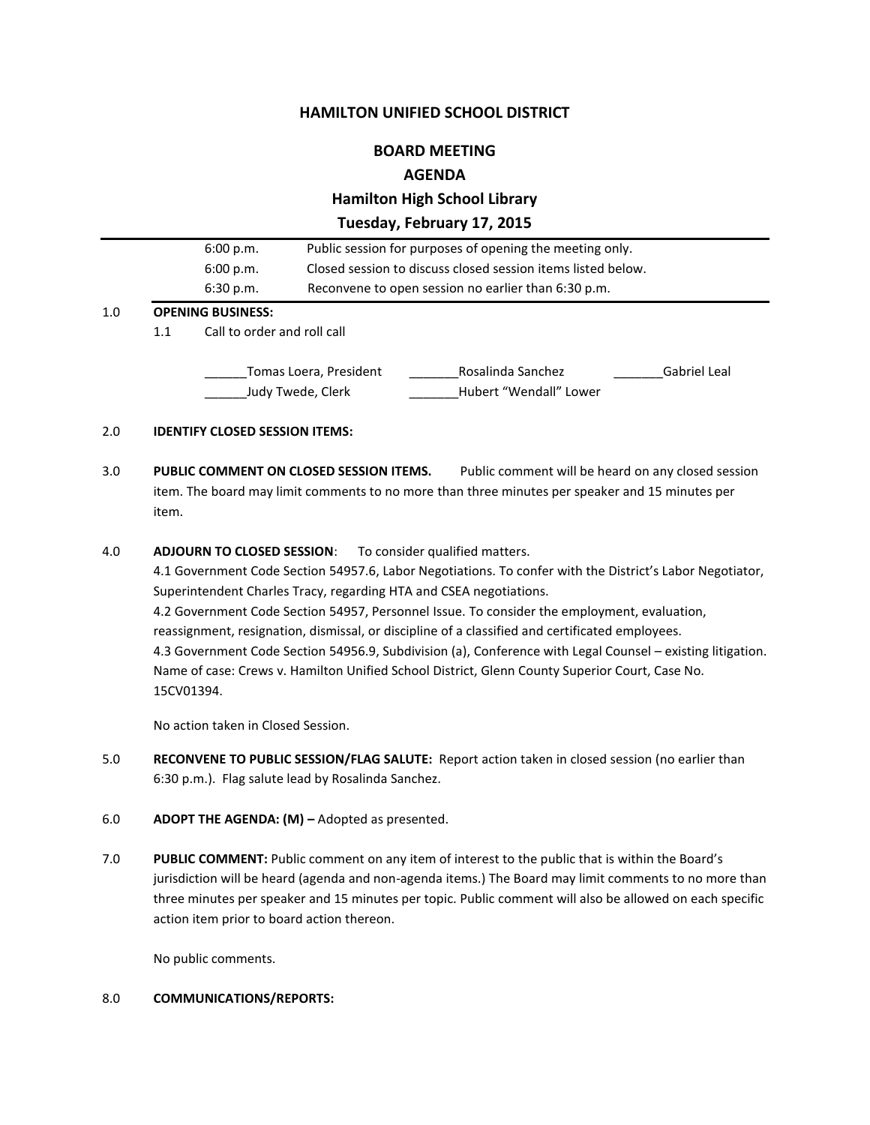# **HAMILTON UNIFIED SCHOOL DISTRICT**

# **BOARD MEETING**

# **AGENDA**

# **Hamilton High School Library**

**Tuesday, February 17, 2015**

|     | اللمم المدالة مرمان مقامون مقالمات |                                                              |
|-----|------------------------------------|--------------------------------------------------------------|
| 1.0 | <b>OPENING BUSINESS:</b>           |                                                              |
|     | 6:30 p.m.                          | Reconvene to open session no earlier than 6:30 p.m.          |
|     | 6:00 p.m.                          | Closed session to discuss closed session items listed below. |
|     | 6:00 p.m.                          | Public session for purposes of opening the meeting only.     |

#### 1.1 Call to order and roll call

\_Tomas Loera, President \_\_\_\_\_\_\_\_\_\_\_\_Rosalinda Sanchez \_\_\_\_\_\_\_\_\_\_\_\_\_\_Gabriel Leal \_\_\_\_\_\_Judy Twede, Clerk \_\_\_\_\_\_\_Hubert "Wendall" Lower

### 2.0 **IDENTIFY CLOSED SESSION ITEMS:**

3.0 **PUBLIC COMMENT ON CLOSED SESSION ITEMS.** Public comment will be heard on any closed session item. The board may limit comments to no more than three minutes per speaker and 15 minutes per item.

#### 4.0 **ADJOURN TO CLOSED SESSION**: To consider qualified matters.

4.1 Government Code Section 54957.6, Labor Negotiations. To confer with the District's Labor Negotiator, Superintendent Charles Tracy, regarding HTA and CSEA negotiations. 4.2 Government Code Section 54957, Personnel Issue. To consider the employment, evaluation, reassignment, resignation, dismissal, or discipline of a classified and certificated employees. 4.3 Government Code Section 54956.9, Subdivision (a), Conference with Legal Counsel – existing litigation. Name of case: Crews v. Hamilton Unified School District, Glenn County Superior Court, Case No. 15CV01394.

No action taken in Closed Session.

- 5.0 **RECONVENE TO PUBLIC SESSION/FLAG SALUTE:** Report action taken in closed session (no earlier than 6:30 p.m.). Flag salute lead by Rosalinda Sanchez.
- 6.0 **ADOPT THE AGENDA: (M) –** Adopted as presented.
- 7.0 **PUBLIC COMMENT:** Public comment on any item of interest to the public that is within the Board's jurisdiction will be heard (agenda and non-agenda items.) The Board may limit comments to no more than three minutes per speaker and 15 minutes per topic. Public comment will also be allowed on each specific action item prior to board action thereon.

No public comments.

#### 8.0 **COMMUNICATIONS/REPORTS:**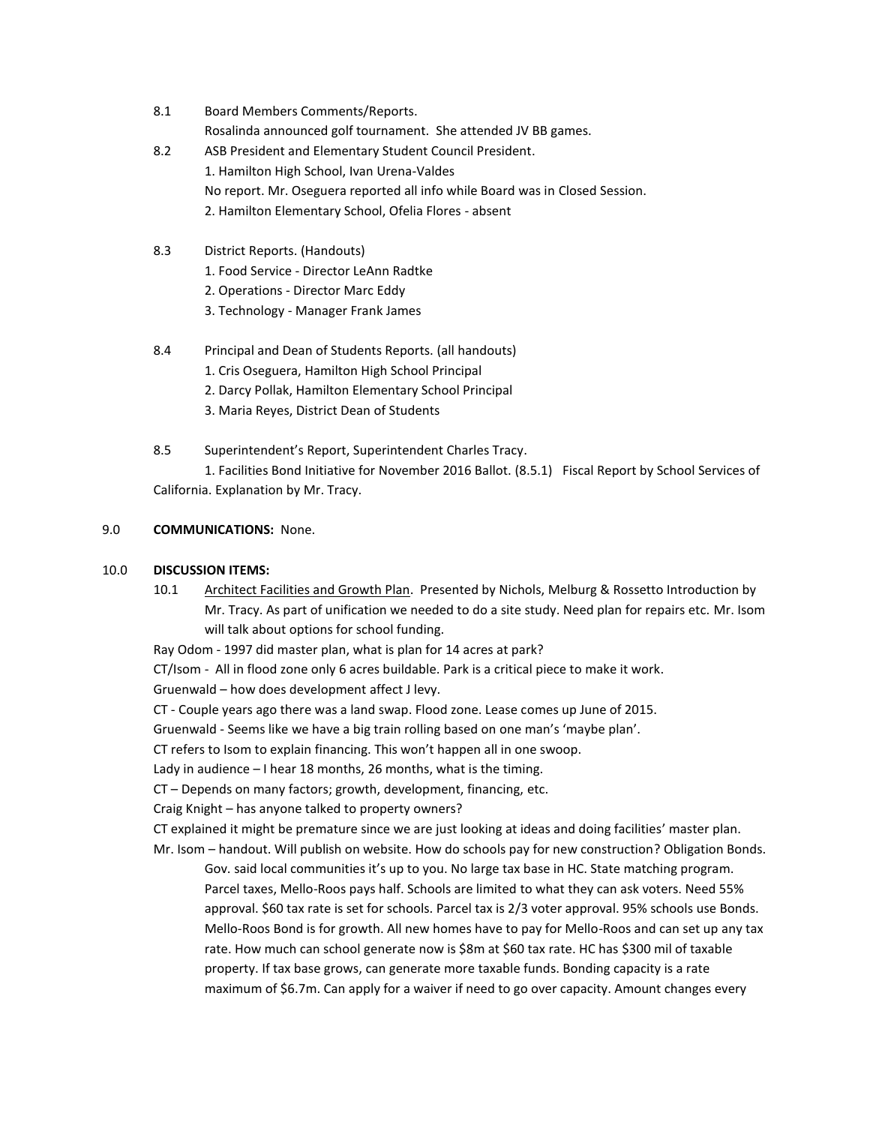- 8.1 Board Members Comments/Reports. Rosalinda announced golf tournament. She attended JV BB games.
- 8.2 ASB President and Elementary Student Council President. 1. Hamilton High School, Ivan Urena-Valdes No report. Mr. Oseguera reported all info while Board was in Closed Session. 2. Hamilton Elementary School, Ofelia Flores - absent
- 8.3 District Reports. (Handouts)
	- 1. Food Service Director LeAnn Radtke
	- 2. Operations Director Marc Eddy
	- 3. Technology Manager Frank James

# 8.4 Principal and Dean of Students Reports. (all handouts)

- 1. Cris Oseguera, Hamilton High School Principal
- 2. Darcy Pollak, Hamilton Elementary School Principal
- 3. Maria Reyes, District Dean of Students
- 8.5 Superintendent's Report, Superintendent Charles Tracy.

1. Facilities Bond Initiative for November 2016 Ballot. (8.5.1) Fiscal Report by School Services of California. Explanation by Mr. Tracy.

### 9.0 **COMMUNICATIONS:** None.

### 10.0 **DISCUSSION ITEMS:**

10.1 Architect Facilities and Growth Plan. Presented by Nichols, Melburg & Rossetto Introduction by Mr. Tracy. As part of unification we needed to do a site study. Need plan for repairs etc. Mr. Isom will talk about options for school funding.

Ray Odom - 1997 did master plan, what is plan for 14 acres at park?

CT/Isom - All in flood zone only 6 acres buildable. Park is a critical piece to make it work.

Gruenwald – how does development affect J levy.

CT - Couple years ago there was a land swap. Flood zone. Lease comes up June of 2015.

Gruenwald - Seems like we have a big train rolling based on one man's 'maybe plan'.

CT refers to Isom to explain financing. This won't happen all in one swoop.

Lady in audience – I hear 18 months, 26 months, what is the timing.

CT – Depends on many factors; growth, development, financing, etc.

Craig Knight – has anyone talked to property owners?

CT explained it might be premature since we are just looking at ideas and doing facilities' master plan.

Mr. Isom – handout. Will publish on website. How do schools pay for new construction? Obligation Bonds. Gov. said local communities it's up to you. No large tax base in HC. State matching program. Parcel taxes, Mello-Roos pays half. Schools are limited to what they can ask voters. Need 55% approval. \$60 tax rate is set for schools. Parcel tax is 2/3 voter approval. 95% schools use Bonds. Mello-Roos Bond is for growth. All new homes have to pay for Mello-Roos and can set up any tax rate. How much can school generate now is \$8m at \$60 tax rate. HC has \$300 mil of taxable property. If tax base grows, can generate more taxable funds. Bonding capacity is a rate maximum of \$6.7m. Can apply for a waiver if need to go over capacity. Amount changes every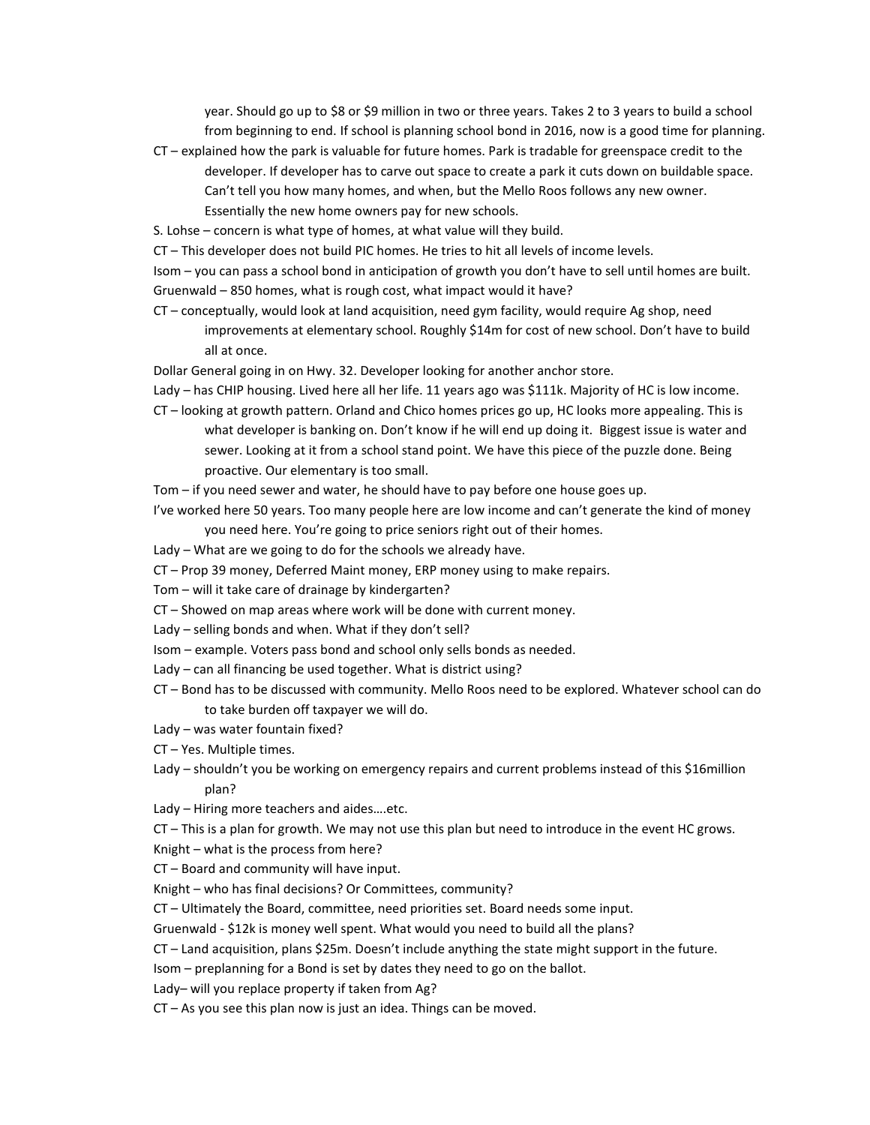year. Should go up to \$8 or \$9 million in two or three years. Takes 2 to 3 years to build a school from beginning to end. If school is planning school bond in 2016, now is a good time for planning.

- CT explained how the park is valuable for future homes. Park is tradable for greenspace credit to the developer. If developer has to carve out space to create a park it cuts down on buildable space. Can't tell you how many homes, and when, but the Mello Roos follows any new owner. Essentially the new home owners pay for new schools.
- S. Lohse concern is what type of homes, at what value will they build.
- CT This developer does not build PIC homes. He tries to hit all levels of income levels.

Isom – you can pass a school bond in anticipation of growth you don't have to sell until homes are built. Gruenwald – 850 homes, what is rough cost, what impact would it have?

- CT conceptually, would look at land acquisition, need gym facility, would require Ag shop, need improvements at elementary school. Roughly \$14m for cost of new school. Don't have to build all at once.
- Dollar General going in on Hwy. 32. Developer looking for another anchor store.

Lady – has CHIP housing. Lived here all her life. 11 years ago was \$111k. Majority of HC is low income.

- CT looking at growth pattern. Orland and Chico homes prices go up, HC looks more appealing. This is what developer is banking on. Don't know if he will end up doing it. Biggest issue is water and sewer. Looking at it from a school stand point. We have this piece of the puzzle done. Being proactive. Our elementary is too small.
- Tom if you need sewer and water, he should have to pay before one house goes up.
- I've worked here 50 years. Too many people here are low income and can't generate the kind of money you need here. You're going to price seniors right out of their homes.
- Lady What are we going to do for the schools we already have.
- CT Prop 39 money, Deferred Maint money, ERP money using to make repairs.
- Tom will it take care of drainage by kindergarten?
- CT Showed on map areas where work will be done with current money.
- Lady selling bonds and when. What if they don't sell?
- Isom example. Voters pass bond and school only sells bonds as needed.
- Lady can all financing be used together. What is district using?
- CT Bond has to be discussed with community. Mello Roos need to be explored. Whatever school can do to take burden off taxpayer we will do.
- Lady was water fountain fixed?
- CT Yes. Multiple times.
- Lady shouldn't you be working on emergency repairs and current problems instead of this \$16million plan?
- Lady Hiring more teachers and aides….etc.

CT – This is a plan for growth. We may not use this plan but need to introduce in the event HC grows.

Knight – what is the process from here?

CT – Board and community will have input.

Knight – who has final decisions? Or Committees, community?

CT – Ultimately the Board, committee, need priorities set. Board needs some input.

Gruenwald - \$12k is money well spent. What would you need to build all the plans?

CT – Land acquisition, plans \$25m. Doesn't include anything the state might support in the future.

Isom – preplanning for a Bond is set by dates they need to go on the ballot.

Lady– will you replace property if taken from Ag?

CT – As you see this plan now is just an idea. Things can be moved.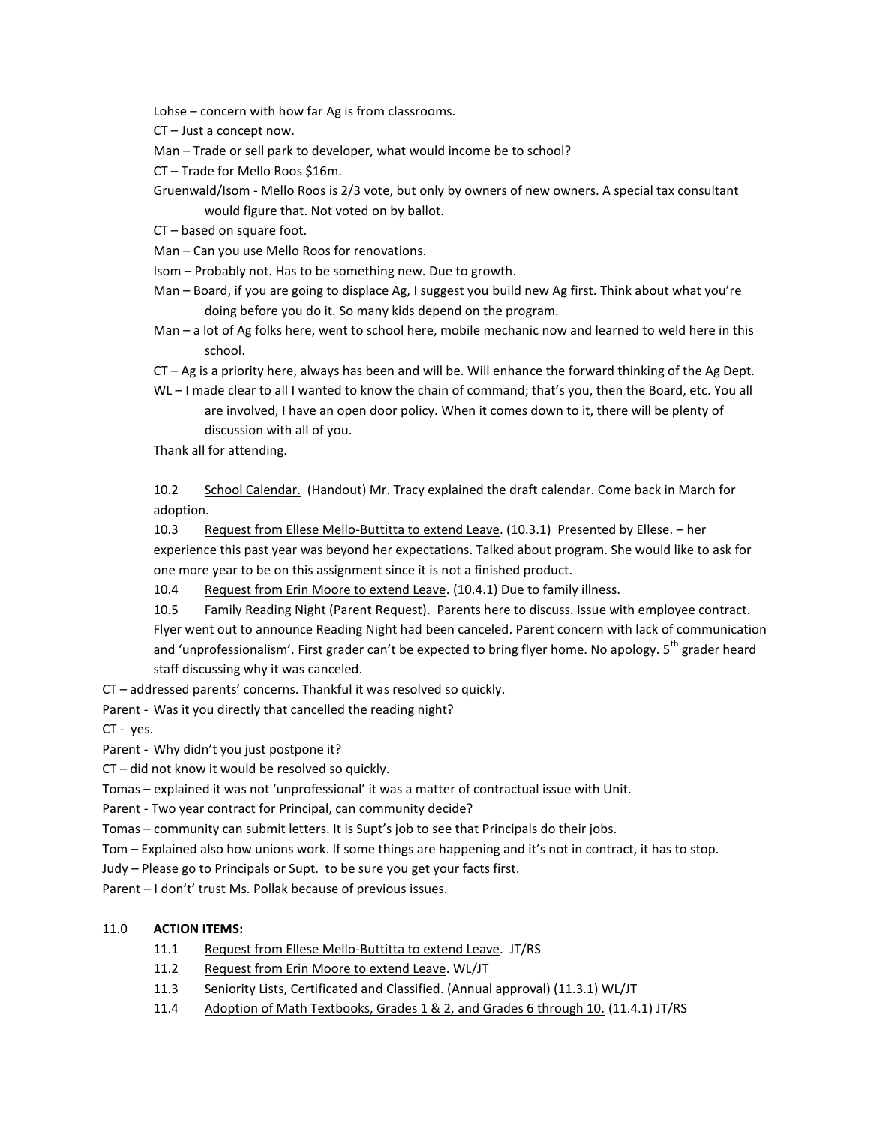Lohse – concern with how far Ag is from classrooms.

CT – Just a concept now.

Man – Trade or sell park to developer, what would income be to school?

CT – Trade for Mello Roos \$16m.

- Gruenwald/Isom Mello Roos is 2/3 vote, but only by owners of new owners. A special tax consultant would figure that. Not voted on by ballot.
- CT based on square foot.
- Man Can you use Mello Roos for renovations.

Isom – Probably not. Has to be something new. Due to growth.

Man – Board, if you are going to displace Ag, I suggest you build new Ag first. Think about what you're doing before you do it. So many kids depend on the program.

Man – a lot of Ag folks here, went to school here, mobile mechanic now and learned to weld here in this school.

CT – Ag is a priority here, always has been and will be. Will enhance the forward thinking of the Ag Dept.

WL – I made clear to all I wanted to know the chain of command; that's you, then the Board, etc. You all are involved, I have an open door policy. When it comes down to it, there will be plenty of discussion with all of you.

Thank all for attending.

10.2 School Calendar. (Handout) Mr. Tracy explained the draft calendar. Come back in March for adoption.

10.3 Request from Ellese Mello-Buttitta to extend Leave. (10.3.1) Presented by Ellese. - her experience this past year was beyond her expectations. Talked about program. She would like to ask for one more year to be on this assignment since it is not a finished product.

10.4 Request from Erin Moore to extend Leave. (10.4.1) Due to family illness.

10.5 Family Reading Night (Parent Request). Parents here to discuss. Issue with employee contract. Flyer went out to announce Reading Night had been canceled. Parent concern with lack of communication and 'unprofessionalism'. First grader can't be expected to bring flyer home. No apology. 5<sup>th</sup> grader heard staff discussing why it was canceled.

CT – addressed parents' concerns. Thankful it was resolved so quickly.

Parent - Was it you directly that cancelled the reading night?

CT - yes.

Parent - Why didn't you just postpone it?

CT – did not know it would be resolved so quickly.

Tomas – explained it was not 'unprofessional' it was a matter of contractual issue with Unit.

Parent - Two year contract for Principal, can community decide?

Tomas – community can submit letters. It is Supt's job to see that Principals do their jobs.

Tom – Explained also how unions work. If some things are happening and it's not in contract, it has to stop.

Judy – Please go to Principals or Supt. to be sure you get your facts first.

Parent – I don't' trust Ms. Pollak because of previous issues.

### 11.0 **ACTION ITEMS:**

- 11.1 Request from Ellese Mello-Buttitta to extend Leave. JT/RS
- 11.2 Request from Erin Moore to extend Leave. WL/JT
- 11.3 Seniority Lists, Certificated and Classified. (Annual approval) (11.3.1) WL/JT
- 11.4 Adoption of Math Textbooks, Grades 1 & 2, and Grades 6 through 10. (11.4.1) JT/RS